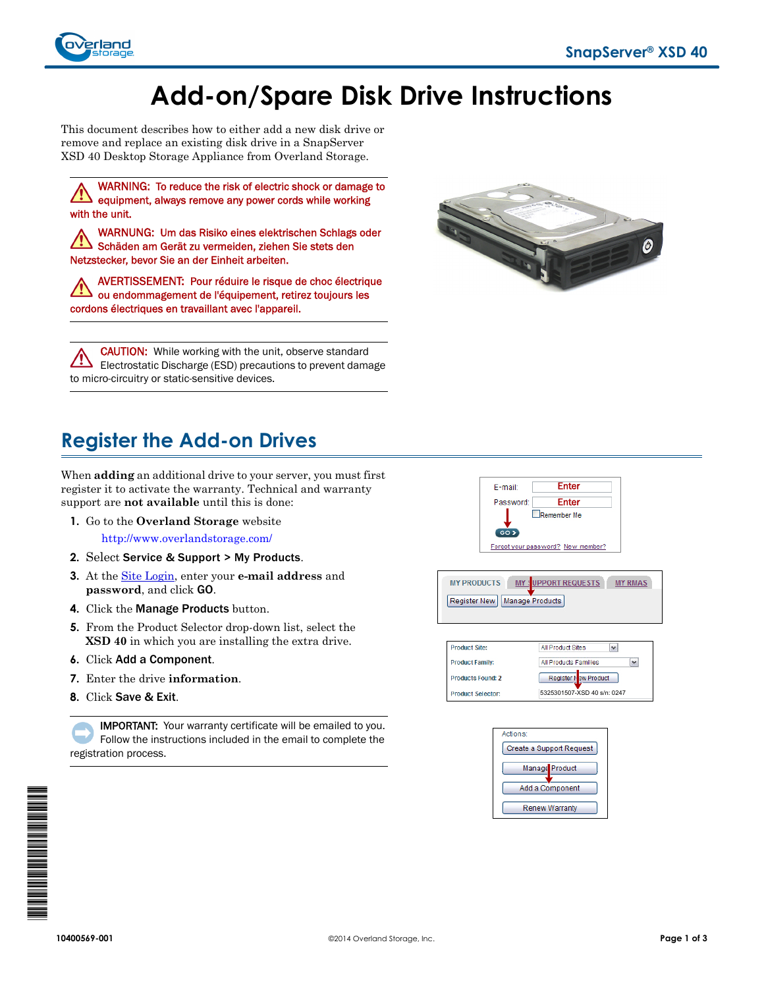

# **Add-on/Spare Disk Drive Instructions**

This document describes how to either add a new disk drive or remove and replace an existing disk drive in a SnapServer XSD 40 Desktop Storage Appliance from Overland Storage.

WARNING: To reduce the risk of electric shock or damage to equipment, always remove any power cords while working with the unit.

WARNUNG: Um das Risiko eines elektrischen Schlags oder Schäden am Gerät zu vermeiden, ziehen Sie stets den Netzstecker, bevor Sie an der Einheit arbeiten.

AVERTISSEMENT: Pour réduire le risque de choc électrique ou endommagement de l'équipement, retirez toujours les cordons électriques en travaillant avec l'appareil.

**CAUTION:** While working with the unit, observe standard Electrostatic Discharge (ESD) precautions to prevent damage to micro-circuitry or static-sensitive devices.



# **Register the Add-on Drives**

When **adding** an additional drive to your server, you must first register it to activate the warranty. Technical and warranty support are **not available** until this is done:

**1.** Go to the **Overland Storage** website

<http://www.overlandstorage.com/>

- **2.** Select Service & Support > My Products.
- **3.** At the [Site Login,](http://support.overlandstorage.com/touchpoint/logIn/login.aspx?ReturnUrl=%2ftouchpoint%2fproducts%2fregisterProduct.aspx) enter your **e-mail address** and **password**, and click GO.
- **4.** Click the Manage Products button.
- **5.** From the Product Selector drop-down list, select the **XSD 40** in which you are installing the extra drive.
- **6.** Click Add a Component.
- **7.** Enter the drive **information**.
- **8.** Click Save & Exit.

IMPORTANT: Your warranty certificate will be emailed to you. Follow the instructions included in the email to complete the registration process.



**MY PRODUCTS** UPPORT REQUESTS MY: **MY RMAS** Register New | Manage Products







101<br>101<br>101<br>101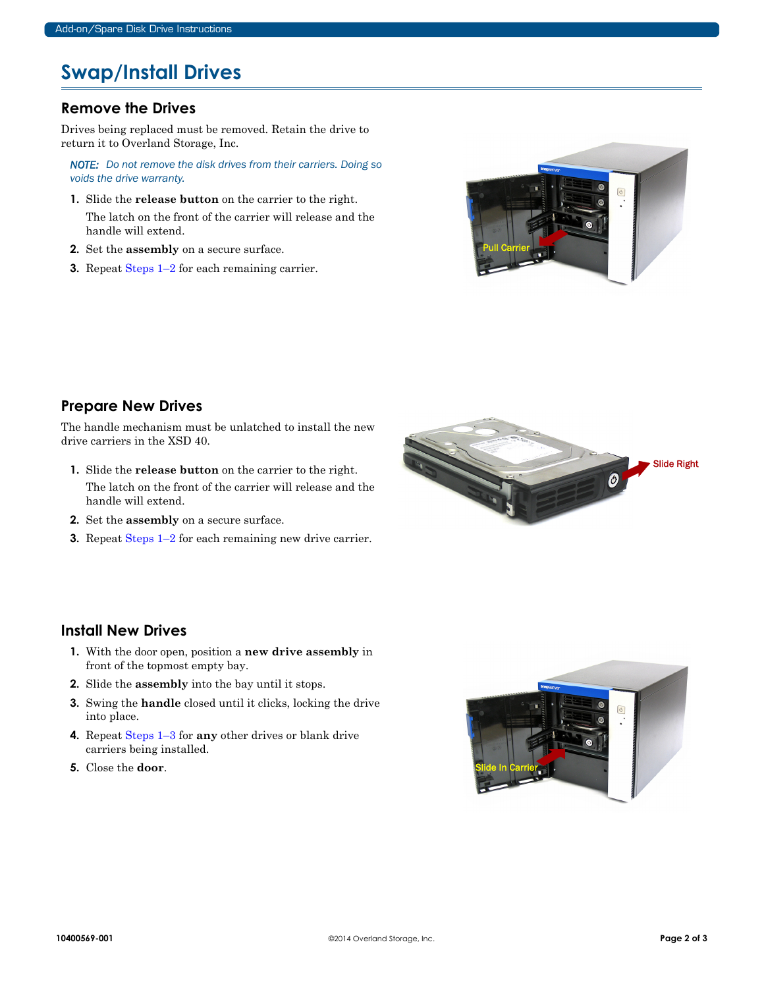## **Swap/Install Drives**

#### **Remove the Drives**

Drives being replaced must be removed. Retain the drive to return it to Overland Storage, Inc.

*NOTE: Do not remove the disk drives from their carriers. Doing so voids the drive warranty.*

- <span id="page-1-0"></span>**1.** Slide the **release button** on the carrier to the right. The latch on the front of the carrier will release and the handle will extend.
- <span id="page-1-1"></span>**2.** Set the **assembly** on a secure surface.
- **3.** Repeat [Steps 1–](#page-1-0)[2](#page-1-1) for each remaining carrier.



### **Prepare New Drives**

The handle mechanism must be unlatched to install the new drive carriers in the XSD 40.

- <span id="page-1-2"></span>**1.** Slide the **release button** on the carrier to the right. The latch on the front of the carrier will release and the handle will extend.
- <span id="page-1-3"></span>**2.** Set the **assembly** on a secure surface.
- **3.** Repeat [Steps 1–](#page-1-2)[2](#page-1-3) for each remaining new drive carrier.



#### **Install New Drives**

- <span id="page-1-4"></span>**1.** With the door open, position a **new drive assembly** in front of the topmost empty bay.
- **2.** Slide the **assembly** into the bay until it stops.
- <span id="page-1-5"></span>**3.** Swing the **handle** closed until it clicks, locking the drive into place.
- **4.** Repeat [Steps 1–](#page-1-4)[3](#page-1-5) for **any** other drives or blank drive carriers being installed.
- **5.** Close the **door**.